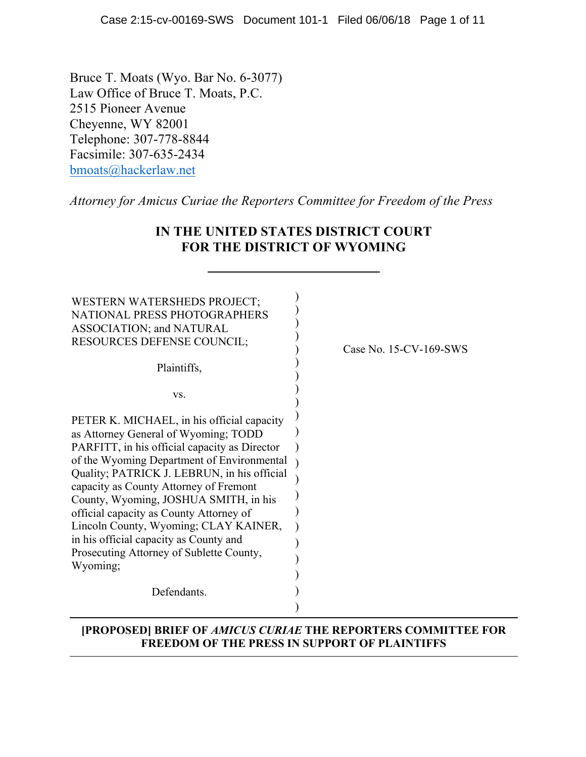Bruce T. Moats (Wyo. Bar No. 6-3077) Law Office of Bruce T. Moats, P.C. 2515 Pioneer Avenue Cheyenne, WY 82001 Telephone: 307-778-8844 Facsimile: 307-635-2434 bmoats@hackerlaw.net

*Attorney for Amicus Curiae the Reporters Committee for Freedom of the Press*

| <b>WESTERN WATERSHEDS PROJECT;</b><br>NATIONAL PRESS PHOTOGRAPHERS<br>ASSOCIATION; and NATURAL<br><b>RESOURCES DEFENSE COUNCIL;</b><br>Plaintiffs,                                                                                                                                                                                                                                                                                                                                                        | Case No. 15-CV-169-SWS |
|-----------------------------------------------------------------------------------------------------------------------------------------------------------------------------------------------------------------------------------------------------------------------------------------------------------------------------------------------------------------------------------------------------------------------------------------------------------------------------------------------------------|------------------------|
| VS.                                                                                                                                                                                                                                                                                                                                                                                                                                                                                                       |                        |
| PETER K. MICHAEL, in his official capacity<br>as Attorney General of Wyoming; TODD<br>PARFITT, in his official capacity as Director<br>of the Wyoming Department of Environmental<br>Quality; PATRICK J. LEBRUN, in his official<br>capacity as County Attorney of Fremont<br>County, Wyoming, JOSHUA SMITH, in his<br>official capacity as County Attorney of<br>Lincoln County, Wyoming; CLAY KAINER,<br>in his official capacity as County and<br>Prosecuting Attorney of Sublette County,<br>Wyoming; |                        |
| Defendants.                                                                                                                                                                                                                                                                                                                                                                                                                                                                                               |                        |
|                                                                                                                                                                                                                                                                                                                                                                                                                                                                                                           |                        |

### **IN THE UNITED STATES DISTRICT COURT FOR THE DISTRICT OF WYOMING**

#### **[PROPOSED] BRIEF OF** *AMICUS CURIAE* **THE REPORTERS COMMITTEE FOR FREEDOM OF THE PRESS IN SUPPORT OF PLAINTIFFS**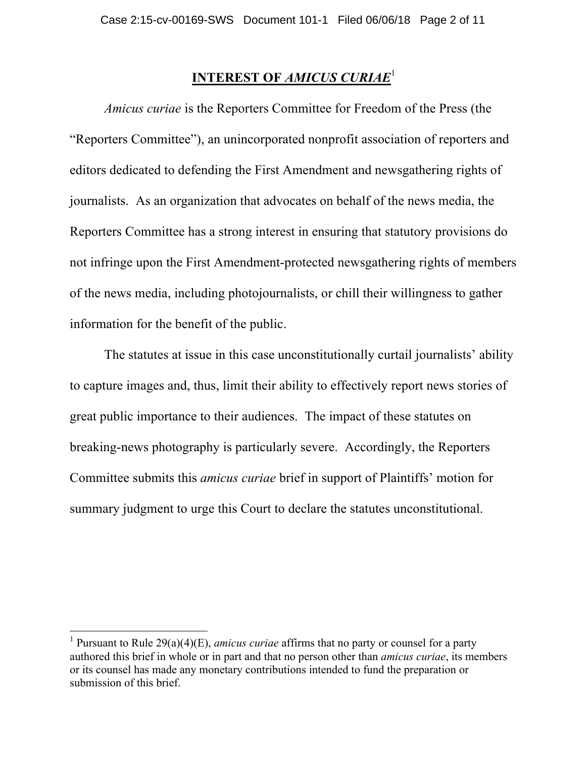# **INTEREST OF** *AMICUS CURIAE*<sup>1</sup>

*Amicus curiae* is the Reporters Committee for Freedom of the Press (the "Reporters Committee"), an unincorporated nonprofit association of reporters and editors dedicated to defending the First Amendment and newsgathering rights of journalists. As an organization that advocates on behalf of the news media, the Reporters Committee has a strong interest in ensuring that statutory provisions do not infringe upon the First Amendment-protected newsgathering rights of members of the news media, including photojournalists, or chill their willingness to gather information for the benefit of the public.

The statutes at issue in this case unconstitutionally curtail journalists' ability to capture images and, thus, limit their ability to effectively report news stories of great public importance to their audiences. The impact of these statutes on breaking-news photography is particularly severe. Accordingly, the Reporters Committee submits this *amicus curiae* brief in support of Plaintiffs' motion for summary judgment to urge this Court to declare the statutes unconstitutional.

 <sup>1</sup> Pursuant to Rule 29(a)(4)(E), *amicus curiae* affirms that no party or counsel for a party authored this brief in whole or in part and that no person other than *amicus curiae*, its members or its counsel has made any monetary contributions intended to fund the preparation or submission of this brief.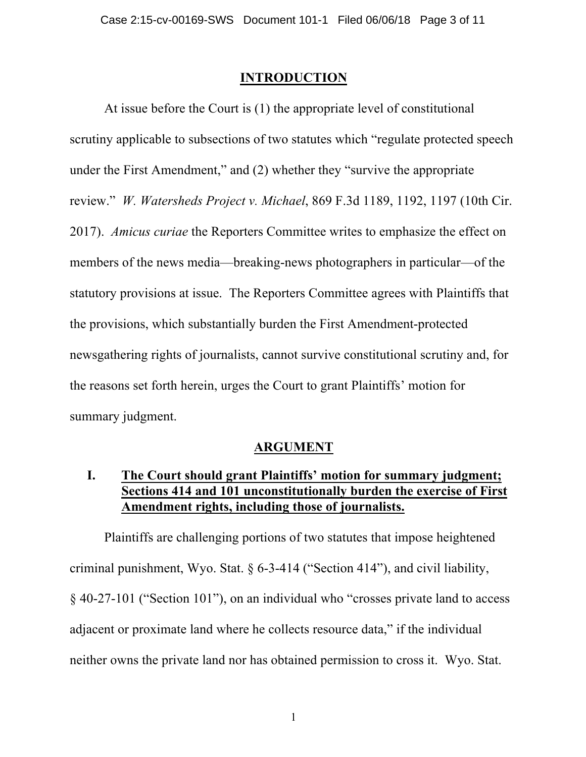#### **INTRODUCTION**

At issue before the Court is (1) the appropriate level of constitutional scrutiny applicable to subsections of two statutes which "regulate protected speech under the First Amendment," and (2) whether they "survive the appropriate review." *W. Watersheds Project v. Michael*, 869 F.3d 1189, 1192, 1197 (10th Cir. 2017). *Amicus curiae* the Reporters Committee writes to emphasize the effect on members of the news media—breaking-news photographers in particular—of the statutory provisions at issue. The Reporters Committee agrees with Plaintiffs that the provisions, which substantially burden the First Amendment-protected newsgathering rights of journalists, cannot survive constitutional scrutiny and, for the reasons set forth herein, urges the Court to grant Plaintiffs' motion for summary judgment.

#### **ARGUMENT**

### **I. The Court should grant Plaintiffs' motion for summary judgment; Sections 414 and 101 unconstitutionally burden the exercise of First Amendment rights, including those of journalists.**

Plaintiffs are challenging portions of two statutes that impose heightened criminal punishment, Wyo. Stat. § 6-3-414 ("Section 414"), and civil liability, § 40-27-101 ("Section 101"), on an individual who "crosses private land to access adjacent or proximate land where he collects resource data," if the individual neither owns the private land nor has obtained permission to cross it. Wyo. Stat.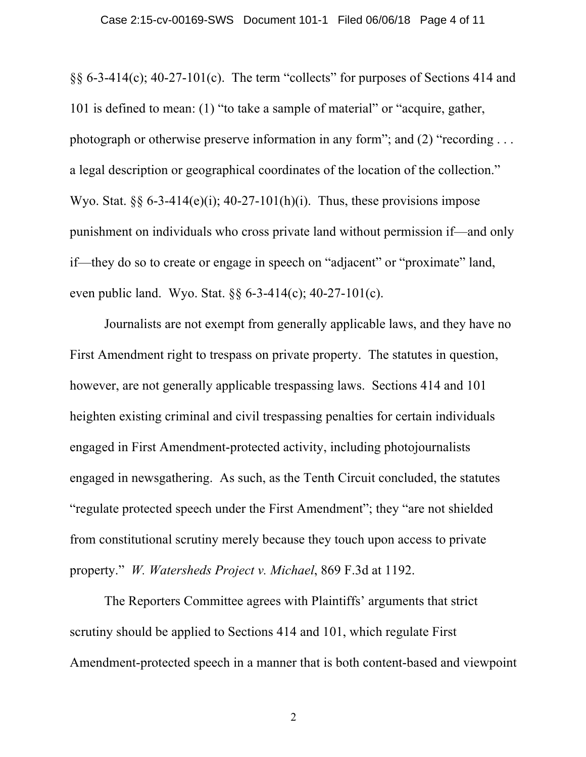$\S$ § 6-3-414(c); 40-27-101(c). The term "collects" for purposes of Sections 414 and 101 is defined to mean: (1) "to take a sample of material" or "acquire, gather, photograph or otherwise preserve information in any form"; and (2) "recording . . . a legal description or geographical coordinates of the location of the collection." Wyo. Stat.  $\S6 - 3 - 414(e)(i)$ ; 40-27-101(h)(i). Thus, these provisions impose punishment on individuals who cross private land without permission if—and only if—they do so to create or engage in speech on "adjacent" or "proximate" land, even public land. Wyo. Stat. §§ 6-3-414(c); 40-27-101(c).

Journalists are not exempt from generally applicable laws, and they have no First Amendment right to trespass on private property. The statutes in question, however, are not generally applicable trespassing laws. Sections 414 and 101 heighten existing criminal and civil trespassing penalties for certain individuals engaged in First Amendment-protected activity, including photojournalists engaged in newsgathering. As such, as the Tenth Circuit concluded, the statutes "regulate protected speech under the First Amendment"; they "are not shielded from constitutional scrutiny merely because they touch upon access to private property." *W. Watersheds Project v. Michael*, 869 F.3d at 1192.

The Reporters Committee agrees with Plaintiffs' arguments that strict scrutiny should be applied to Sections 414 and 101, which regulate First Amendment-protected speech in a manner that is both content-based and viewpoint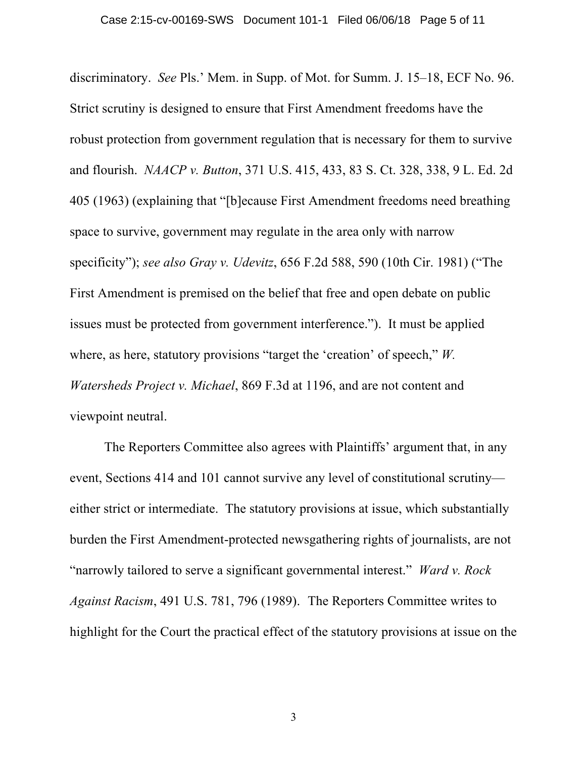discriminatory. *See* Pls.' Mem. in Supp. of Mot. for Summ. J. 15–18, ECF No. 96. Strict scrutiny is designed to ensure that First Amendment freedoms have the robust protection from government regulation that is necessary for them to survive and flourish. *NAACP v. Button*, 371 U.S. 415, 433, 83 S. Ct. 328, 338, 9 L. Ed. 2d 405 (1963) (explaining that "[b]ecause First Amendment freedoms need breathing space to survive, government may regulate in the area only with narrow specificity"); *see also Gray v. Udevitz*, 656 F.2d 588, 590 (10th Cir. 1981) ("The First Amendment is premised on the belief that free and open debate on public issues must be protected from government interference."). It must be applied where, as here, statutory provisions "target the 'creation' of speech," *W. Watersheds Project v. Michael*, 869 F.3d at 1196, and are not content and viewpoint neutral.

The Reporters Committee also agrees with Plaintiffs' argument that, in any event, Sections 414 and 101 cannot survive any level of constitutional scrutiny either strict or intermediate. The statutory provisions at issue, which substantially burden the First Amendment-protected newsgathering rights of journalists, are not "narrowly tailored to serve a significant governmental interest." *Ward v. Rock Against Racism*, 491 U.S. 781, 796 (1989). The Reporters Committee writes to highlight for the Court the practical effect of the statutory provisions at issue on the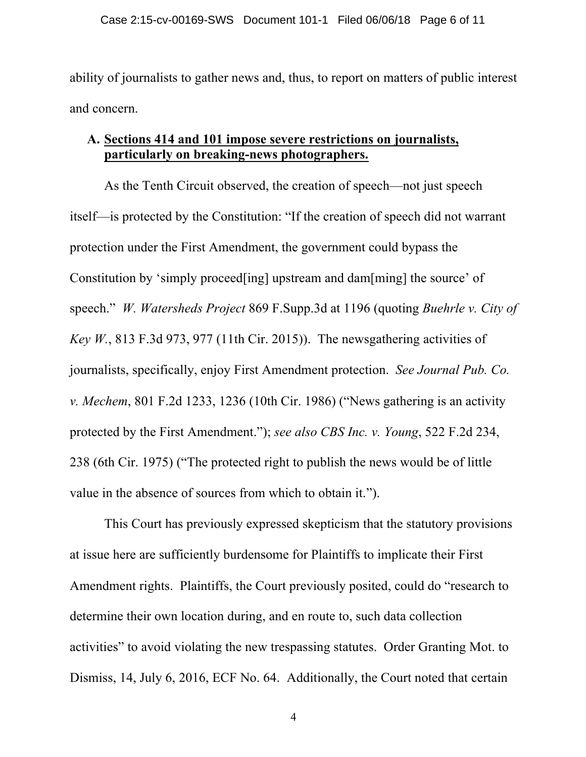ability of journalists to gather news and, thus, to report on matters of public interest and concern.

### **A. Sections 414 and 101 impose severe restrictions on journalists, particularly on breaking-news photographers.**

As the Tenth Circuit observed, the creation of speech—not just speech itself—is protected by the Constitution: "If the creation of speech did not warrant protection under the First Amendment, the government could bypass the Constitution by 'simply proceed[ing] upstream and dam[ming] the source' of speech." *W. Watersheds Project* 869 F.Supp.3d at 1196 (quoting *Buehrle v. City of Key W.*, 813 F.3d 973, 977 (11th Cir. 2015)). The newsgathering activities of journalists, specifically, enjoy First Amendment protection. *See Journal Pub. Co. v. Mechem*, 801 F.2d 1233, 1236 (10th Cir. 1986) ("News gathering is an activity protected by the First Amendment."); *see also CBS Inc. v. Young*, 522 F.2d 234, 238 (6th Cir. 1975) ("The protected right to publish the news would be of little value in the absence of sources from which to obtain it.").

This Court has previously expressed skepticism that the statutory provisions at issue here are sufficiently burdensome for Plaintiffs to implicate their First Amendment rights. Plaintiffs, the Court previously posited, could do "research to determine their own location during, and en route to, such data collection activities" to avoid violating the new trespassing statutes.Order Granting Mot. to Dismiss, 14, July 6, 2016, ECF No. 64. Additionally, the Court noted that certain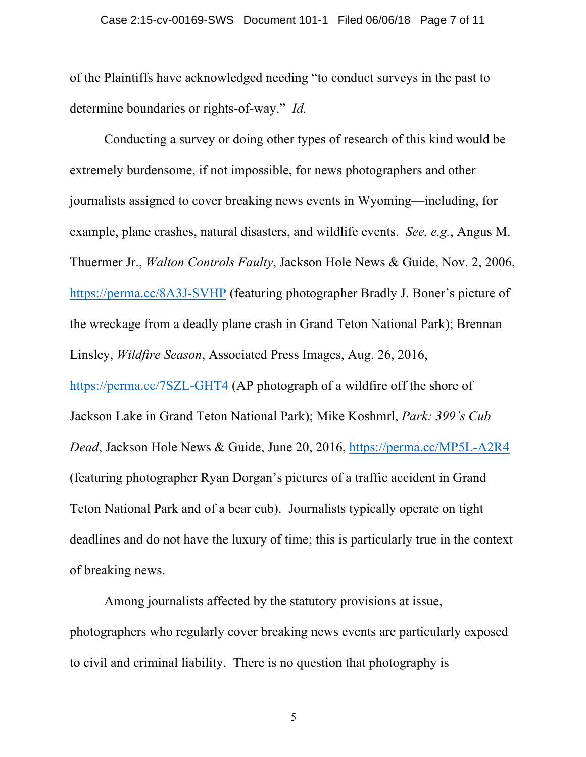of the Plaintiffs have acknowledged needing "to conduct surveys in the past to determine boundaries or rights-of-way." *Id.*

Conducting a survey or doing other types of research of this kind would be extremely burdensome, if not impossible, for news photographers and other journalists assigned to cover breaking news events in Wyoming—including, for example, plane crashes, natural disasters, and wildlife events. *See, e.g.*, Angus M. Thuermer Jr., *Walton Controls Faulty*, Jackson Hole News & Guide, Nov. 2, 2006, https://perma.cc/8A3J-SVHP (featuring photographer Bradly J. Boner's picture of the wreckage from a deadly plane crash in Grand Teton National Park); Brennan Linsley, *Wildfire Season*, Associated Press Images, Aug. 26, 2016, https://perma.cc/7SZL-GHT4 (AP photograph of a wildfire off the shore of Jackson Lake in Grand Teton National Park); Mike Koshmrl, *Park: 399's Cub Dead*, Jackson Hole News & Guide, June 20, 2016, https://perma.cc/MP5L-A2R4 (featuring photographer Ryan Dorgan's pictures of a traffic accident in Grand Teton National Park and of a bear cub). Journalists typically operate on tight deadlines and do not have the luxury of time; this is particularly true in the context of breaking news.

Among journalists affected by the statutory provisions at issue, photographers who regularly cover breaking news events are particularly exposed to civil and criminal liability. There is no question that photography is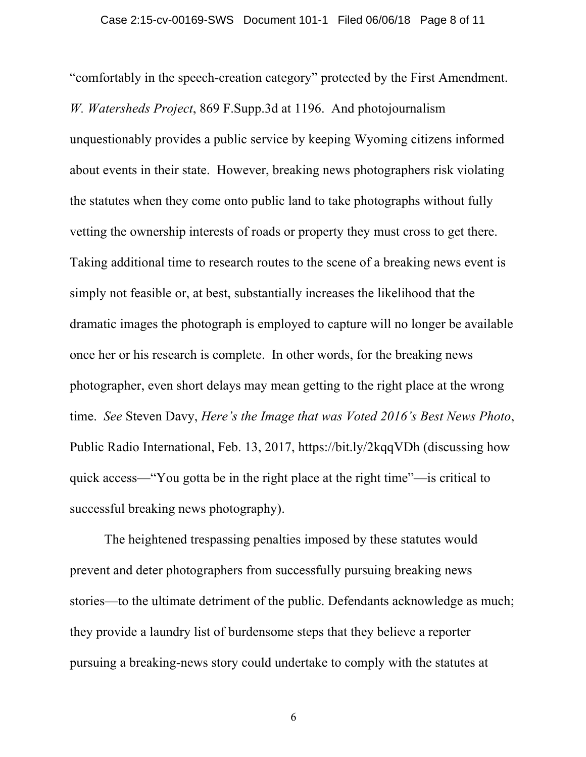"comfortably in the speech-creation category" protected by the First Amendment. *W. Watersheds Project*, 869 F.Supp.3d at 1196. And photojournalism unquestionably provides a public service by keeping Wyoming citizens informed about events in their state. However, breaking news photographers risk violating the statutes when they come onto public land to take photographs without fully vetting the ownership interests of roads or property they must cross to get there. Taking additional time to research routes to the scene of a breaking news event is simply not feasible or, at best, substantially increases the likelihood that the dramatic images the photograph is employed to capture will no longer be available once her or his research is complete. In other words, for the breaking news photographer, even short delays may mean getting to the right place at the wrong time. *See* Steven Davy, *Here's the Image that was Voted 2016's Best News Photo*, Public Radio International, Feb. 13, 2017, https://bit.ly/2kqqVDh (discussing how quick access—"You gotta be in the right place at the right time"—is critical to successful breaking news photography).

The heightened trespassing penalties imposed by these statutes would prevent and deter photographers from successfully pursuing breaking news stories—to the ultimate detriment of the public. Defendants acknowledge as much; they provide a laundry list of burdensome steps that they believe a reporter pursuing a breaking-news story could undertake to comply with the statutes at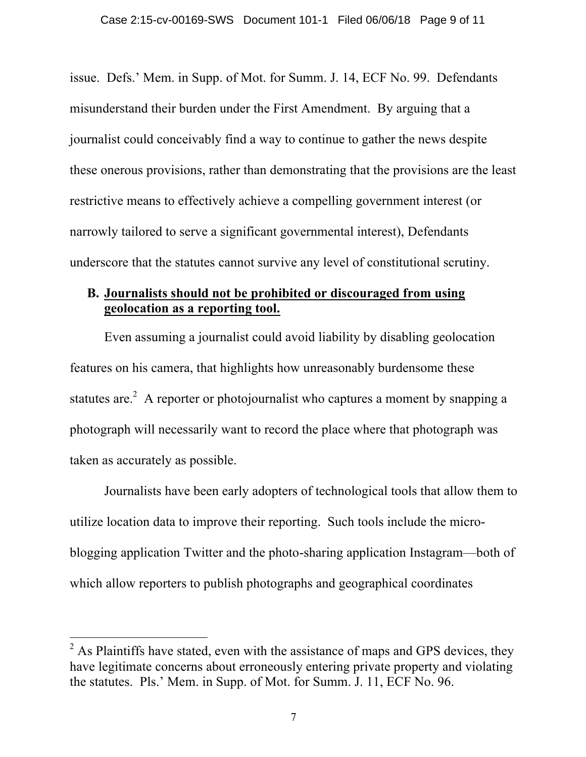issue. Defs.' Mem. in Supp. of Mot. for Summ. J. 14, ECF No. 99. Defendants misunderstand their burden under the First Amendment. By arguing that a journalist could conceivably find a way to continue to gather the news despite these onerous provisions, rather than demonstrating that the provisions are the least restrictive means to effectively achieve a compelling government interest (or narrowly tailored to serve a significant governmental interest), Defendants underscore that the statutes cannot survive any level of constitutional scrutiny.

### **B. Journalists should not be prohibited or discouraged from using geolocation as a reporting tool.**

Even assuming a journalist could avoid liability by disabling geolocation features on his camera, that highlights how unreasonably burdensome these statutes are.<sup>2</sup> A reporter or photojournalist who captures a moment by snapping a photograph will necessarily want to record the place where that photograph was taken as accurately as possible.

Journalists have been early adopters of technological tools that allow them to utilize location data to improve their reporting. Such tools include the microblogging application Twitter and the photo-sharing application Instagram—both of which allow reporters to publish photographs and geographical coordinates

 $<sup>2</sup>$  As Plaintiffs have stated, even with the assistance of maps and GPS devices, they</sup> have legitimate concerns about erroneously entering private property and violating the statutes. Pls.' Mem. in Supp. of Mot. for Summ. J. 11, ECF No. 96.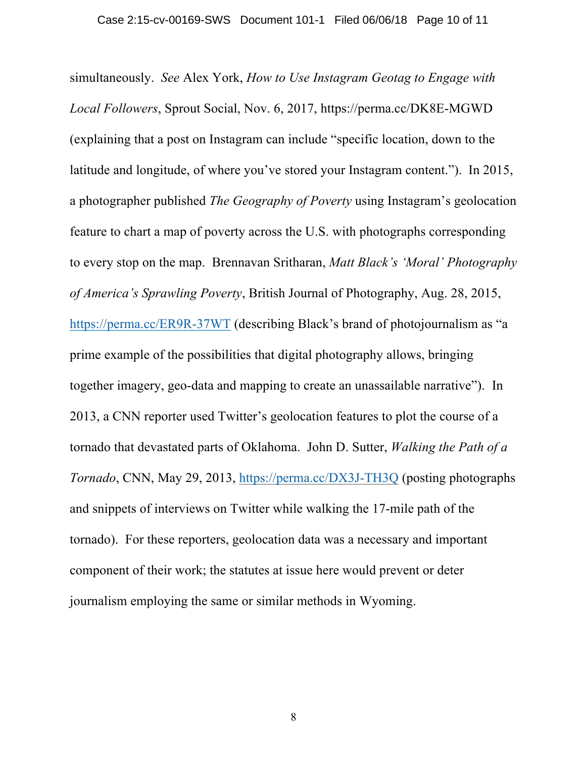simultaneously. *See* Alex York, *How to Use Instagram Geotag to Engage with Local Followers*, Sprout Social, Nov. 6, 2017, https://perma.cc/DK8E-MGWD (explaining that a post on Instagram can include "specific location, down to the latitude and longitude, of where you've stored your Instagram content."). In 2015, a photographer published *The Geography of Poverty* using Instagram's geolocation feature to chart a map of poverty across the U.S. with photographs corresponding to every stop on the map. Brennavan Sritharan, *Matt Black's 'Moral' Photography of America's Sprawling Poverty*, British Journal of Photography, Aug. 28, 2015, https://perma.cc/ER9R-37WT (describing Black's brand of photojournalism as "a prime example of the possibilities that digital photography allows, bringing together imagery, geo-data and mapping to create an unassailable narrative"). In 2013, a CNN reporter used Twitter's geolocation features to plot the course of a tornado that devastated parts of Oklahoma. John D. Sutter, *Walking the Path of a Tornado*, CNN, May 29, 2013, https://perma.cc/DX3J-TH3Q (posting photographs and snippets of interviews on Twitter while walking the 17-mile path of the tornado). For these reporters, geolocation data was a necessary and important component of their work; the statutes at issue here would prevent or deter journalism employing the same or similar methods in Wyoming.